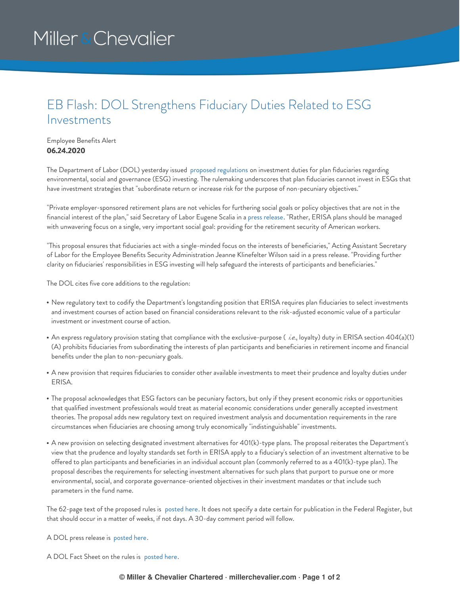## Miller & Chevalier

## EB Flash: DOL Strengthens Fiduciary Duties Related to ESG Investments

## Employee Benefits Alert **06.24.2020**

The Department of Labor (DOL) yesterday issued proposed [regulations](https://www.dol.gov/sites/dolgov/files/ebsa/temporary-postings/financial-factors-in-selecting-plan-investments-proposed-rule.pdf) on investment duties for plan fiduciaries regarding environmental, social and governance (ESG) investing. The rulemaking underscores that plan fiduciaries cannot invest in ESGs that have investment strategies that "subordinate return or increase risk for the purpose of non-pecuniary objectives."

"Private employer-sponsored retirement plans are not vehicles for furthering social goals or policy objectives that are not in the financial interest of the plan," said Secretary of Labor Eugene Scalia in a press [release](https://www.dol.gov/newsroom/releases/ebsa/ebsa20200623-0). "Rather, ERISA plans should be managed with unwavering focus on a single, very important social goal: providing for the retirement security of American workers.

"This proposal ensures that fiduciaries act with a single-minded focus on the interests of beneficiaries," Acting Assistant Secretary of Labor for the Employee Benefits Security Administration Jeanne Klinefelter Wilson said in a press release. "Providing further clarity on fiduciaries' responsibilities in ESG investing will help safeguard the interests of participants and beneficiaries."

The DOL cites five core additions to the regulation:

- New regulatory text to codify the Department's longstanding position that ERISA requires plan fiduciaries to select investments and investment courses of action based on financial considerations relevant to the risk-adjusted economic value of a particular investment or investment course of action.
- An express regulatory provision stating that compliance with the exclusive-purpose (*i.e.*, loyalty) duty in ERISA section 404(a)(1) (A) prohibits fiduciaries from subordinating the interests of plan participants and beneficiaries in retirement income and financial benefits under the plan to non-pecuniary goals.
- A new provision that requires fiduciaries to consider other available investments to meet their prudence and loyalty duties under ERISA.
- The proposal acknowledges that ESG factors can be pecuniary factors, but only if they present economic risks or opportunities that qualified investment professionals would treat as material economic considerations under generally accepted investment theories. The proposal adds new regulatory text on required investment analysis and documentation requirements in the rare circumstances when fiduciaries are choosing among truly economically "indistinguishable" investments.
- A new provision on selecting designated investment alternatives for 401(k)-type plans. The proposal reiterates the Department's view that the prudence and loyalty standards set forth in ERISA apply to a fiduciary's selection of an investment alternative to be offered to plan participants and beneficiaries in an individual account plan (commonly referred to as a 401(k)-type plan). The proposal describes the requirements for selecting investment alternatives for such plans that purport to pursue one or more environmental, social, and corporate governance-oriented objectives in their investment mandates or that include such parameters in the fund name.

The 62-page text of the proposed rules is [posted](https://www.dol.gov/sites/dolgov/files/ebsa/temporary-postings/financial-factors-in-selecting-plan-investments-proposed-rule.pdf) here. It does not specify a date certain for publication in the Federal Register, but that should occur in a matter of weeks, if not days. A 30-day comment period will follow.

A DOL press release is [posted](https://www.dol.gov/newsroom/releases/ebsa/ebsa20200623-0) here.

A DOL Fact Sheet on the rules is [posted](https://www.dol.gov/sites/dolgov/files/ebsa/about-ebsa/our-activities/resource-center/fact-sheets/financial-factors-in-selecting-plan-investments.pdf) here.